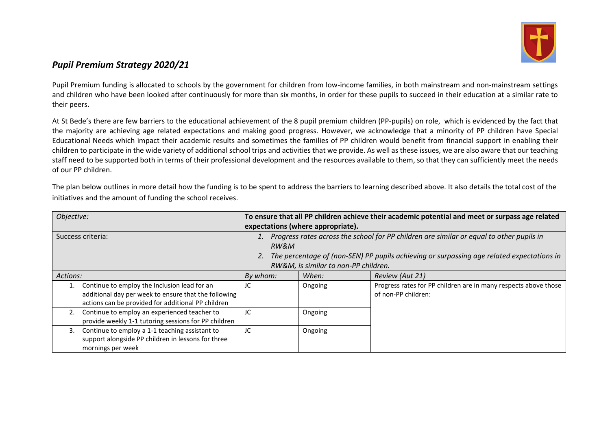

## *Pupil Premium Strategy 2020/21*

Pupil Premium funding is allocated to schools by the government for children from low-income families, in both mainstream and non-mainstream settings and children who have been looked after continuously for more than six months, in order for these pupils to succeed in their education at a similar rate to their peers.

At St Bede's there are few barriers to the educational achievement of the 8 pupil premium children (PP-pupils) on role, which is evidenced by the fact that the majority are achieving age related expectations and making good progress. However, we acknowledge that a minority of PP children have Special Educational Needs which impact their academic results and sometimes the families of PP children would benefit from financial support in enabling their children to participate in the wide variety of additional school trips and activities that we provide. As well as these issues, we are also aware that our teaching staff need to be supported both in terms of their professional development and the resources available to them, so that they can sufficiently meet the needs of our PP children.

| Objective:                                           | To ensure that all PP children achieve their academic potential and meet or surpass age related<br>expectations (where appropriate). |         |                                                                 |  |  |  |
|------------------------------------------------------|--------------------------------------------------------------------------------------------------------------------------------------|---------|-----------------------------------------------------------------|--|--|--|
|                                                      |                                                                                                                                      |         |                                                                 |  |  |  |
| Success criteria:                                    | 1. Progress rates across the school for PP children are similar or equal to other pupils in                                          |         |                                                                 |  |  |  |
|                                                      | RW&M                                                                                                                                 |         |                                                                 |  |  |  |
|                                                      | The percentage of (non-SEN) PP pupils achieving or surpassing age related expectations in                                            |         |                                                                 |  |  |  |
|                                                      | RW&M, is similar to non-PP children.                                                                                                 |         |                                                                 |  |  |  |
| Actions:                                             | By whom:                                                                                                                             | When:   | Review (Aut 21)                                                 |  |  |  |
| Continue to employ the Inclusion lead for an<br>1.   | JC                                                                                                                                   | Ongoing | Progress rates for PP children are in many respects above those |  |  |  |
| additional day per week to ensure that the following |                                                                                                                                      |         | of non-PP children:                                             |  |  |  |
| actions can be provided for additional PP children   |                                                                                                                                      |         |                                                                 |  |  |  |
| Continue to employ an experienced teacher to<br>2.   | JC                                                                                                                                   | Ongoing |                                                                 |  |  |  |
| provide weekly 1-1 tutoring sessions for PP children |                                                                                                                                      |         |                                                                 |  |  |  |
| Continue to employ a 1-1 teaching assistant to<br>3. | JC                                                                                                                                   | Ongoing |                                                                 |  |  |  |
| support alongside PP children in lessons for three   |                                                                                                                                      |         |                                                                 |  |  |  |
| mornings per week                                    |                                                                                                                                      |         |                                                                 |  |  |  |

The plan below outlines in more detail how the funding is to be spent to address the barriers to learning described above. It also details the total cost of the initiatives and the amount of funding the school receives.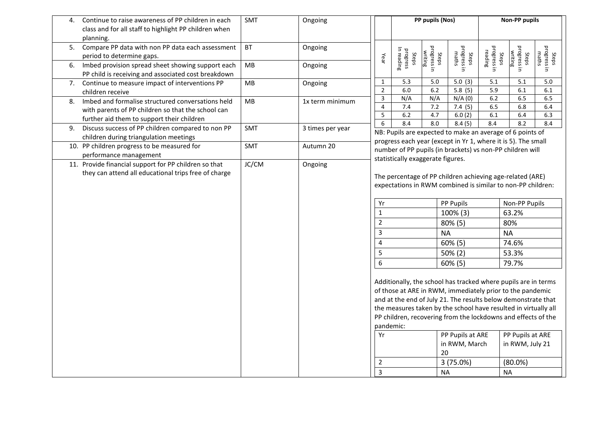| 4. | Continue to raise awareness of PP children in each                                                       | SMT           | Ongoing          |                                                                                                                                                                                                                                                                                                                                                                                             | PP pupils (Nos)                    |                                 |                                                           | <b>Non-PP pupils</b>            |                                 |                               |
|----|----------------------------------------------------------------------------------------------------------|---------------|------------------|---------------------------------------------------------------------------------------------------------------------------------------------------------------------------------------------------------------------------------------------------------------------------------------------------------------------------------------------------------------------------------------------|------------------------------------|---------------------------------|-----------------------------------------------------------|---------------------------------|---------------------------------|-------------------------------|
|    | class and for all staff to highlight PP children when                                                    |               |                  |                                                                                                                                                                                                                                                                                                                                                                                             |                                    |                                 |                                                           |                                 |                                 |                               |
| 5. | planning.<br>Compare PP data with non PP data each assessment<br>period to determine gaps.               | <b>BT</b>     | Ongoing          | Year                                                                                                                                                                                                                                                                                                                                                                                        | Steps<br>progress<br>In reading    | Steps<br>progress in<br>writing | Steps<br>progress in<br>maths                             | progress in<br>reading<br>Steps | Steps<br>progress in<br>writing | Steps<br>progress in<br>maths |
| 6. | Imbed provision spread sheet showing support each<br>PP child is receiving and associated cost breakdown | <b>MB</b>     | Ongoing          |                                                                                                                                                                                                                                                                                                                                                                                             |                                    |                                 |                                                           |                                 |                                 |                               |
| 7. | Continue to measure impact of interventions PP                                                           | MB<br>Ongoing |                  | $\mathbf{1}$                                                                                                                                                                                                                                                                                                                                                                                | 5.3                                | 5.0                             | 5.0(3)                                                    | 5.1                             | 5.1                             | 5.0                           |
|    | children receive                                                                                         |               |                  | $\overline{2}$                                                                                                                                                                                                                                                                                                                                                                              | 6.0                                | 6.2                             | 5.8(5)                                                    | 5.9                             | 6.1                             | 6.1                           |
| 8. | Imbed and formalise structured conversations held                                                        | MB            | 1x term minimum  | $\mathbf{3}$                                                                                                                                                                                                                                                                                                                                                                                | N/A                                | N/A                             | N/A(0)                                                    | $6.2\,$                         | 6.5                             | 6.5                           |
|    | with parents of PP children so that the school can                                                       |               |                  | $\overline{4}$<br>5                                                                                                                                                                                                                                                                                                                                                                         | 7.4<br>6.2                         | 7.2<br>4.7                      | 7.4(5)<br>6.0(2)                                          | 6.5<br>6.1                      | 6.8<br>6.4                      | 6.4<br>6.3                    |
|    | further aid them to support their children                                                               |               |                  | 6                                                                                                                                                                                                                                                                                                                                                                                           | 8.4                                | 8.0                             | 8.4(5)                                                    | 8.4                             | 8.2                             | 8.4                           |
| 9. | Discuss success of PP children compared to non PP                                                        | SMT           | 3 times per year |                                                                                                                                                                                                                                                                                                                                                                                             |                                    |                                 |                                                           |                                 |                                 |                               |
|    | children during triangulation meetings                                                                   |               |                  | NB: Pupils are expected to make an average of 6 points of<br>progress each year (except in Yr 1, where it is 5). The small                                                                                                                                                                                                                                                                  |                                    |                                 |                                                           |                                 |                                 |                               |
|    | 10. PP children progress to be measured for                                                              | SMT           | Autumn 20        |                                                                                                                                                                                                                                                                                                                                                                                             |                                    |                                 | number of PP pupils (in brackets) vs non-PP children will |                                 |                                 |                               |
|    | performance management                                                                                   |               |                  |                                                                                                                                                                                                                                                                                                                                                                                             | statistically exaggerate figures.  |                                 |                                                           |                                 |                                 |                               |
|    | 11. Provide financial support for PP children so that                                                    | JC/CM         | Ongoing          |                                                                                                                                                                                                                                                                                                                                                                                             |                                    |                                 |                                                           |                                 |                                 |                               |
|    | they can attend all educational trips free of charge                                                     |               |                  | The percentage of PP children achieving age-related (ARE)                                                                                                                                                                                                                                                                                                                                   |                                    |                                 |                                                           |                                 |                                 |                               |
|    |                                                                                                          |               |                  | expectations in RWM combined is similar to non-PP children:                                                                                                                                                                                                                                                                                                                                 |                                    |                                 |                                                           |                                 |                                 |                               |
|    |                                                                                                          |               |                  |                                                                                                                                                                                                                                                                                                                                                                                             |                                    |                                 |                                                           |                                 |                                 |                               |
|    |                                                                                                          |               |                  | Yr                                                                                                                                                                                                                                                                                                                                                                                          |                                    |                                 | PP Pupils                                                 |                                 | Non-PP Pupils                   |                               |
|    |                                                                                                          |               |                  | $\mathbf{1}$                                                                                                                                                                                                                                                                                                                                                                                |                                    | 100% (3)                        | 63.2%                                                     |                                 |                                 |                               |
|    |                                                                                                          |               |                  | $\overline{2}$                                                                                                                                                                                                                                                                                                                                                                              | 80% (5)                            |                                 |                                                           | 80%                             |                                 |                               |
|    |                                                                                                          |               |                  | $\overline{3}$                                                                                                                                                                                                                                                                                                                                                                              | <b>NA</b>                          |                                 |                                                           | <b>NA</b>                       |                                 |                               |
|    |                                                                                                          |               |                  |                                                                                                                                                                                                                                                                                                                                                                                             | $\overline{\mathbf{4}}$<br>60% (5) |                                 |                                                           |                                 |                                 |                               |
|    |                                                                                                          |               |                  |                                                                                                                                                                                                                                                                                                                                                                                             |                                    |                                 |                                                           | 74.6%                           |                                 |                               |
|    |                                                                                                          |               |                  | 5                                                                                                                                                                                                                                                                                                                                                                                           |                                    |                                 | 50% (2)                                                   | 53.3%                           |                                 |                               |
|    |                                                                                                          |               |                  | $\overline{6}$                                                                                                                                                                                                                                                                                                                                                                              |                                    |                                 | 60% (5)                                                   | 79.7%                           |                                 |                               |
|    |                                                                                                          |               |                  | Additionally, the school has tracked where pupils are in terms<br>of those at ARE in RWM, immediately prior to the pandemic<br>and at the end of July 21. The results below demonstrate that<br>the measures taken by the school have resulted in virtually all<br>PP children, recovering from the lockdowns and effects of the<br>pandemic:<br>PP Pupils at ARE<br>PP Pupils at ARE<br>Yr |                                    |                                 |                                                           |                                 |                                 |                               |
|    |                                                                                                          |               |                  |                                                                                                                                                                                                                                                                                                                                                                                             |                                    |                                 | in RWM, March                                             |                                 | in RWM, July 21                 |                               |
|    |                                                                                                          |               |                  |                                                                                                                                                                                                                                                                                                                                                                                             |                                    | 20                              |                                                           |                                 |                                 |                               |
|    |                                                                                                          |               |                  | $\overline{2}$                                                                                                                                                                                                                                                                                                                                                                              |                                    |                                 | 3 (75.0%)                                                 |                                 | $(80.0\%)$                      |                               |
|    |                                                                                                          |               |                  | $\overline{3}$                                                                                                                                                                                                                                                                                                                                                                              |                                    | <b>NA</b>                       |                                                           |                                 | <b>NA</b>                       |                               |